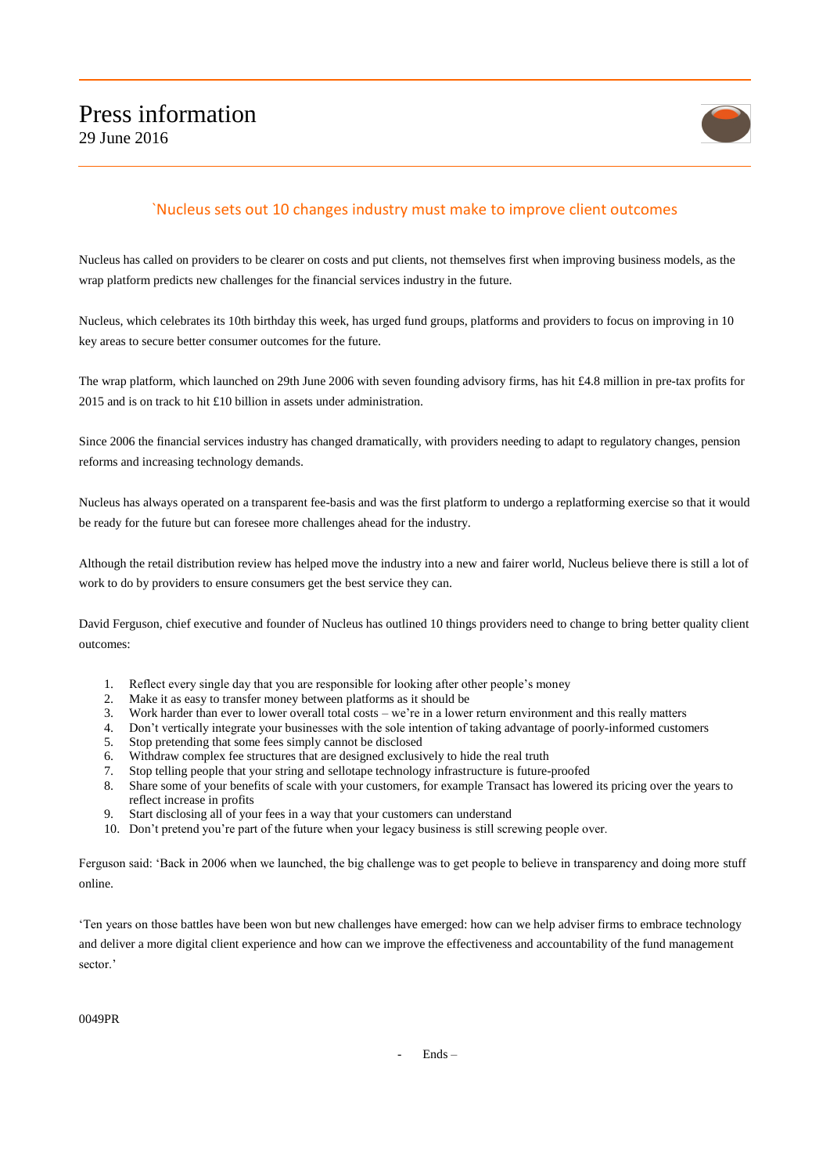

## `Nucleus sets out 10 changes industry must make to improve client outcomes

Nucleus has called on providers to be clearer on costs and put clients, not themselves first when improving business models, as the wrap platform predicts new challenges for the financial services industry in the future.

Nucleus, which celebrates its 10th birthday this week, has urged fund groups, platforms and providers to focus on improving in 10 key areas to secure better consumer outcomes for the future.

The wrap platform, which launched on 29th June 2006 with seven founding advisory firms, has hit £4.8 million in pre-tax profits for 2015 and is on track to hit £10 billion in assets under administration.

Since 2006 the financial services industry has changed dramatically, with providers needing to adapt to regulatory changes, pension reforms and increasing technology demands.

Nucleus has always operated on a transparent fee-basis and was the first platform to undergo a replatforming exercise so that it would be ready for the future but can foresee more challenges ahead for the industry.

Although the retail distribution review has helped move the industry into a new and fairer world, Nucleus believe there is still a lot of work to do by providers to ensure consumers get the best service they can.

David Ferguson, chief executive and founder of Nucleus has outlined 10 things providers need to change to bring better quality client outcomes:

- 1. Reflect every single day that you are responsible for looking after other people's money
- 
- 2. Make it as easy to transfer money between platforms as it should be 3. Work harder than ever to lower overall total costs we're in a lower Work harder than ever to lower overall total costs – we're in a lower return environment and this really matters
- 4. Don't vertically integrate your businesses with the sole intention of taking advantage of poorly-informed customers<br>5. Stop pretending that some fees simply cannot be disclosed
- 5. Stop pretending that some fees simply cannot be disclosed
- 6. Withdraw complex fee structures that are designed exclusively to hide the real truth
- 7. Stop telling people that your string and sellotape technology infrastructure is future-proofed
- 8. Share some of your benefits of scale with your customers, for example Transact has lowered its pricing over the years to reflect increase in profits
- 9. Start disclosing all of your fees in a way that your customers can understand
- 10. Don't pretend you're part of the future when your legacy business is still screwing people over.

Ferguson said: 'Back in 2006 when we launched, the big challenge was to get people to believe in transparency and doing more stuff online.

'Ten years on those battles have been won but new challenges have emerged: how can we help adviser firms to embrace technology and deliver a more digital client experience and how can we improve the effectiveness and accountability of the fund management sector.'

0049PR